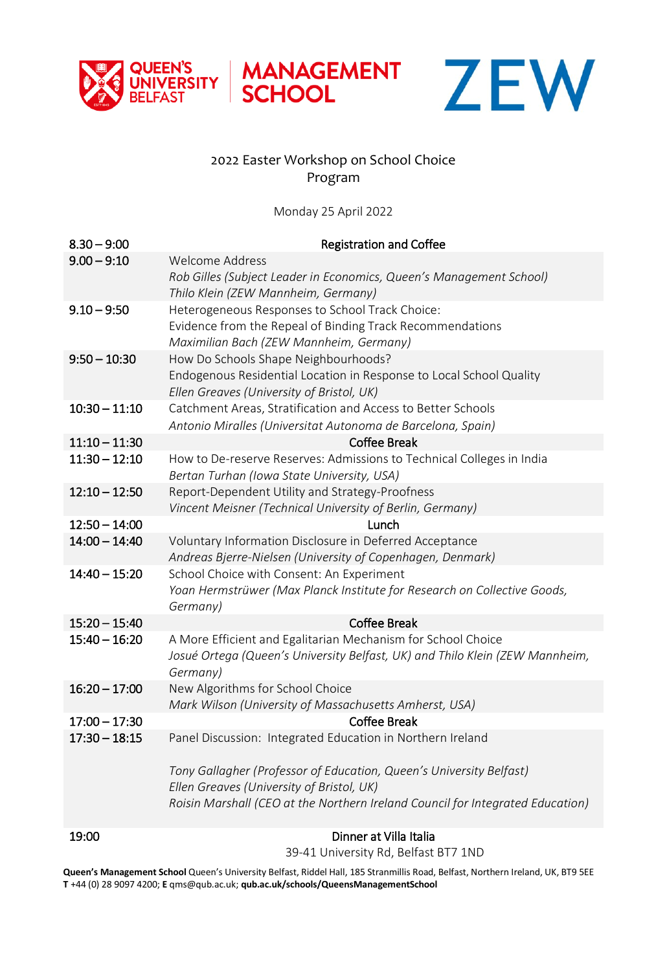



## 2022 Easter Workshop on School Choice Program

MANAGEMENT<br>SCHOOL

Monday 25 April 2022

| $8.30 - 9:00$<br>$9.00 - 9:10$ | <b>Registration and Coffee</b><br>Welcome Address                              |
|--------------------------------|--------------------------------------------------------------------------------|
|                                | Rob Gilles (Subject Leader in Economics, Queen's Management School)            |
|                                | Thilo Klein (ZEW Mannheim, Germany)                                            |
| $9.10 - 9:50$                  | Heterogeneous Responses to School Track Choice:                                |
|                                | Evidence from the Repeal of Binding Track Recommendations                      |
|                                | Maximilian Bach (ZEW Mannheim, Germany)                                        |
| $9:50 - 10:30$                 | How Do Schools Shape Neighbourhoods?                                           |
|                                | Endogenous Residential Location in Response to Local School Quality            |
|                                | Ellen Greaves (University of Bristol, UK)                                      |
| $10:30 - 11:10$                | Catchment Areas, Stratification and Access to Better Schools                   |
|                                | Antonio Miralles (Universitat Autonoma de Barcelona, Spain)                    |
| $11:10 - 11:30$                | <b>Coffee Break</b>                                                            |
| $11:30 - 12:10$                | How to De-reserve Reserves: Admissions to Technical Colleges in India          |
|                                | Bertan Turhan (Iowa State University, USA)                                     |
| $12:10 - 12:50$                | Report-Dependent Utility and Strategy-Proofness                                |
|                                | Vincent Meisner (Technical University of Berlin, Germany)                      |
| $12:50 - 14:00$                | Lunch                                                                          |
| $14:00 - 14:40$                | Voluntary Information Disclosure in Deferred Acceptance                        |
|                                | Andreas Bjerre-Nielsen (University of Copenhagen, Denmark)                     |
| $14:40 - 15:20$                | School Choice with Consent: An Experiment                                      |
|                                | Yoan Hermstrüwer (Max Planck Institute for Research on Collective Goods,       |
|                                | Germany)                                                                       |
| $15:20 - 15:40$                | <b>Coffee Break</b>                                                            |
| $15:40 - 16:20$                | A More Efficient and Egalitarian Mechanism for School Choice                   |
|                                | Josué Ortega (Queen's University Belfast, UK) and Thilo Klein (ZEW Mannheim,   |
|                                | Germany)                                                                       |
| $16:20 - 17:00$                | New Algorithms for School Choice                                               |
| $17:00 - 17:30$                | Mark Wilson (University of Massachusetts Amherst, USA)                         |
| $17:30 - 18:15$                | <b>Coffee Break</b>                                                            |
|                                | Panel Discussion: Integrated Education in Northern Ireland                     |
|                                | Tony Gallagher (Professor of Education, Queen's University Belfast)            |
|                                | Ellen Greaves (University of Bristol, UK)                                      |
|                                | Roisin Marshall (CEO at the Northern Ireland Council for Integrated Education) |
|                                |                                                                                |
| 19:00                          | Dinner at Villa Italia                                                         |

39-41 University Rd, Belfast BT7 1ND

**Queen's Management School** Queen's University Belfast, Riddel Hall, 185 Stranmillis Road, Belfast, Northern Ireland, UK, BT9 5EE **T** +44 (0) 28 9097 4200; **E** qms@qub.ac.uk; **qub.ac.uk/schools/QueensManagementSchool**